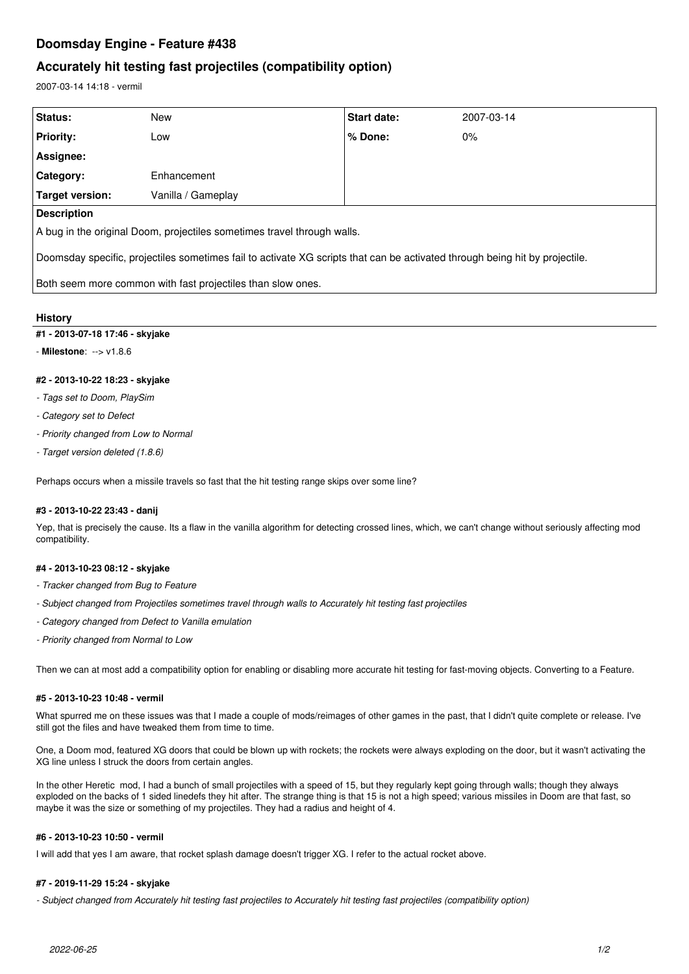# **Doomsday Engine - Feature #438**

## **Accurately hit testing fast projectiles (compatibility option)**

2007-03-14 14:18 - vermil

| <b>Status:</b>                                                                                                              | New                | <b>Start date:</b> | 2007-03-14 |
|-----------------------------------------------------------------------------------------------------------------------------|--------------------|--------------------|------------|
| <b>Priority:</b>                                                                                                            | Low                | l % Done:          | $0\%$      |
| Assignee:                                                                                                                   |                    |                    |            |
| Category:                                                                                                                   | Enhancement        |                    |            |
| Target version:                                                                                                             | Vanilla / Gameplay |                    |            |
| <b>Description</b>                                                                                                          |                    |                    |            |
| A bug in the original Doom, projectiles sometimes travel through walls.                                                     |                    |                    |            |
| Doomsday specific, projectiles sometimes fail to activate XG scripts that can be activated through being hit by projectile. |                    |                    |            |
| Both seem more common with fast projectiles than slow ones.                                                                 |                    |                    |            |

## **History**

### **#1 - 2013-07-18 17:46 - skyjake**

- **Milestone**: --> v1.8.6

### **#2 - 2013-10-22 18:23 - skyjake**

- *Tags set to Doom, PlaySim*
- *Category set to Defect*
- *Priority changed from Low to Normal*
- *Target version deleted (1.8.6)*

Perhaps occurs when a missile travels so fast that the hit testing range skips over some line?

### **#3 - 2013-10-22 23:43 - danij**

Yep, that is precisely the cause. Its a flaw in the vanilla algorithm for detecting crossed lines, which, we can't change without seriously affecting mod compatibility.

### **#4 - 2013-10-23 08:12 - skyjake**

- *Tracker changed from Bug to Feature*
- *Subject changed from Projectiles sometimes travel through walls to Accurately hit testing fast projectiles*
- *Category changed from Defect to Vanilla emulation*
- *Priority changed from Normal to Low*

Then we can at most add a compatibility option for enabling or disabling more accurate hit testing for fast-moving objects. Converting to a Feature.

#### **#5 - 2013-10-23 10:48 - vermil**

What spurred me on these issues was that I made a couple of mods/reimages of other games in the past, that I didn't quite complete or release. I've still got the files and have tweaked them from time to time.

One, a Doom mod, featured XG doors that could be blown up with rockets; the rockets were always exploding on the door, but it wasn't activating the XG line unless I struck the doors from certain angles.

In the other Heretic mod, I had a bunch of small projectiles with a speed of 15, but they regularly kept going through walls; though they always exploded on the backs of 1 sided linedefs they hit after. The strange thing is that 15 is not a high speed; various missiles in Doom are that fast, so maybe it was the size or something of my projectiles. They had a radius and height of 4.

#### **#6 - 2013-10-23 10:50 - vermil**

I will add that yes I am aware, that rocket splash damage doesn't trigger XG. I refer to the actual rocket above.

### **#7 - 2019-11-29 15:24 - skyjake**

*- Subject changed from Accurately hit testing fast projectiles to Accurately hit testing fast projectiles (compatibility option)*